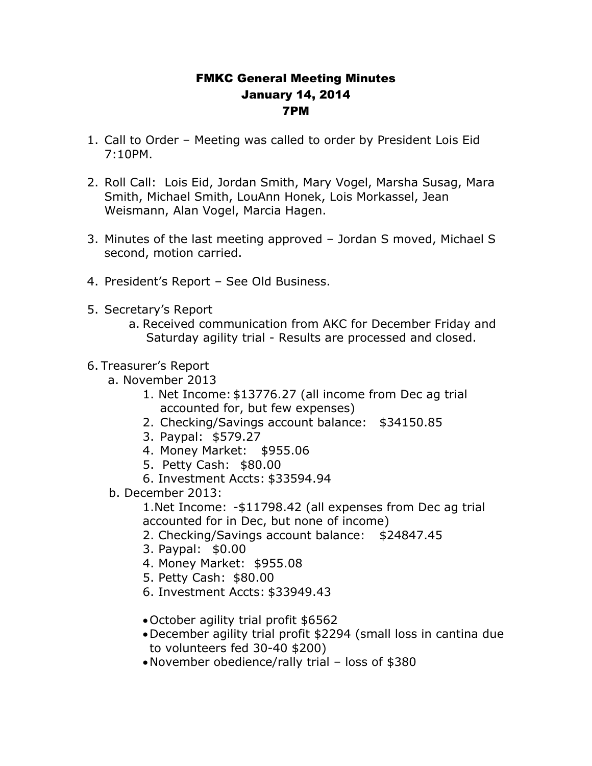## FMKC General Meeting Minutes January 14, 2014 7PM

- 1. Call to Order Meeting was called to order by President Lois Eid 7:10PM.
- 2. Roll Call: Lois Eid, Jordan Smith, Mary Vogel, Marsha Susag, Mara Smith, Michael Smith, LouAnn Honek, Lois Morkassel, Jean Weismann, Alan Vogel, Marcia Hagen.
- 3. Minutes of the last meeting approved Jordan S moved, Michael S second, motion carried.
- 4. President's Report See Old Business.
- 5. Secretary's Report
	- a. Received communication from AKC for December Friday and Saturday agility trial - Results are processed and closed.
- 6. Treasurer's Report
	- a. November 2013
		- 1. Net Income: \$13776.27 (all income from Dec ag trial accounted for, but few expenses)
		- 2. Checking/Savings account balance: \$34150.85
		- 3. Paypal: \$579.27
		- 4. Money Market: \$955.06
		- 5. Petty Cash: \$80.00
		- 6. Investment Accts: \$33594.94
	- b. December 2013:

1.Net Income: -\$11798.42 (all expenses from Dec ag trial accounted for in Dec, but none of income)

- 2. Checking/Savings account balance: \$24847.45
- 3. Paypal: \$0.00
- 4. Money Market: \$955.08
- 5. Petty Cash: \$80.00
- 6. Investment Accts: \$33949.43
- October agility trial profit \$6562
- December agility trial profit \$2294 (small loss in cantina due to volunteers fed 30-40 \$200)
- November obedience/rally trial loss of \$380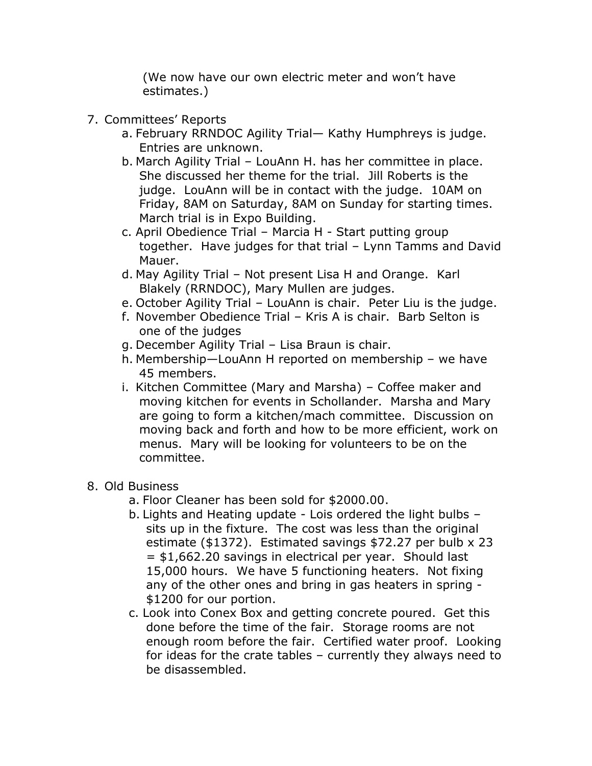(We now have our own electric meter and won't have estimates.)

- 7. Committees' Reports
	- a. February RRNDOC Agility Trial— Kathy Humphreys is judge. Entries are unknown.
	- b. March Agility Trial LouAnn H. has her committee in place. She discussed her theme for the trial. Jill Roberts is the judge. LouAnn will be in contact with the judge. 10AM on Friday, 8AM on Saturday, 8AM on Sunday for starting times. March trial is in Expo Building.
	- c. April Obedience Trial Marcia H Start putting group together. Have judges for that trial – Lynn Tamms and David Mauer.
	- d. May Agility Trial Not present Lisa H and Orange. Karl Blakely (RRNDOC), Mary Mullen are judges.
	- e. October Agility Trial LouAnn is chair. Peter Liu is the judge.
	- f. November Obedience Trial Kris A is chair. Barb Selton is one of the judges
	- g. December Agility Trial Lisa Braun is chair.
	- h. Membership—LouAnn H reported on membership we have 45 members.
	- i. Kitchen Committee (Mary and Marsha) Coffee maker and moving kitchen for events in Schollander. Marsha and Mary are going to form a kitchen/mach committee. Discussion on moving back and forth and how to be more efficient, work on menus. Mary will be looking for volunteers to be on the committee.
- 8. Old Business
	- a. Floor Cleaner has been sold for \$2000.00.
	- b. Lights and Heating update Lois ordered the light bulbs sits up in the fixture. The cost was less than the original estimate (\$1372). Estimated savings \$72.27 per bulb x 23 = \$1,662.20 savings in electrical per year. Should last 15,000 hours. We have 5 functioning heaters. Not fixing any of the other ones and bring in gas heaters in spring - \$1200 for our portion.
	- c. Look into Conex Box and getting concrete poured. Get this done before the time of the fair. Storage rooms are not enough room before the fair. Certified water proof. Looking for ideas for the crate tables – currently they always need to be disassembled.